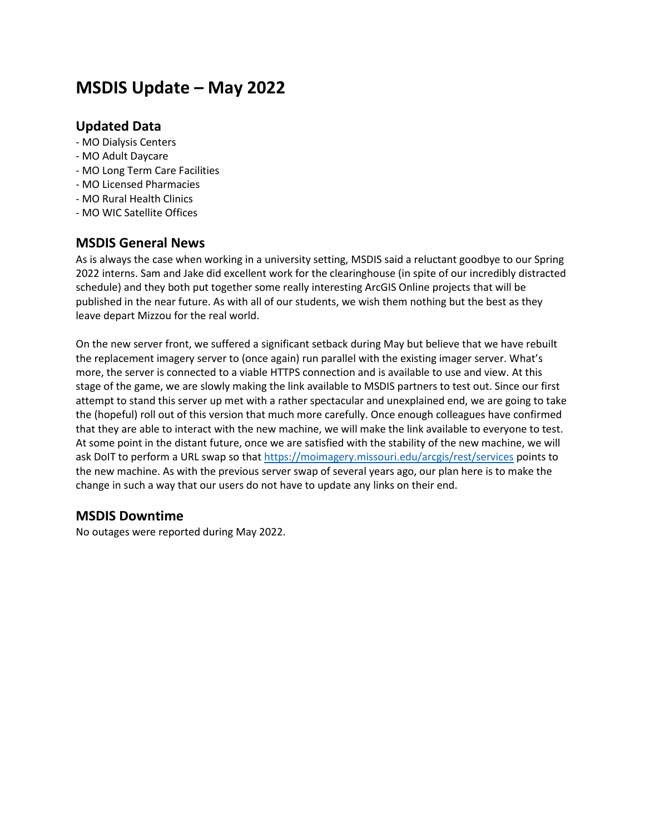# **MSDIS Update – May 2022**

## **Updated Data**

- MO Dialysis Centers
- MO Adult Daycare
- MO Long Term Care Facilities
- MO Licensed Pharmacies
- MO Rural Health Clinics
- MO WIC Satellite Offices

### **MSDIS General News**

As is always the case when working in a university setting, MSDIS said a reluctant goodbye to our Spring 2022 interns. Sam and Jake did excellent work for the clearinghouse (in spite of our incredibly distracted schedule) and they both put together some really interesting ArcGIS Online projects that will be published in the near future. As with all of our students, we wish them nothing but the best as they leave depart Mizzou for the real world.

On the new server front, we suffered a significant setback during May but believe that we have rebuilt the replacement imagery server to (once again) run parallel with the existing imager server. What's more, the server is connected to a viable HTTPS connection and is available to use and view. At this stage of the game, we are slowly making the link available to MSDIS partners to test out. Since our first attempt to stand this server up met with a rather spectacular and unexplained end, we are going to take the (hopeful) roll out of this version that much more carefully. Once enough colleagues have confirmed that they are able to interact with the new machine, we will make the link available to everyone to test. At some point in the distant future, once we are satisfied with the stability of the new machine, we will ask DoIT to perform a URL swap so tha[t https://moimagery.missouri.edu/arcgis/rest/services](https://moimagery.missouri.edu/arcgis/rest/services) points to the new machine. As with the previous server swap of several years ago, our plan here is to make the change in such a way that our users do not have to update any links on their end.

### **MSDIS Downtime**

No outages were reported during May 2022.